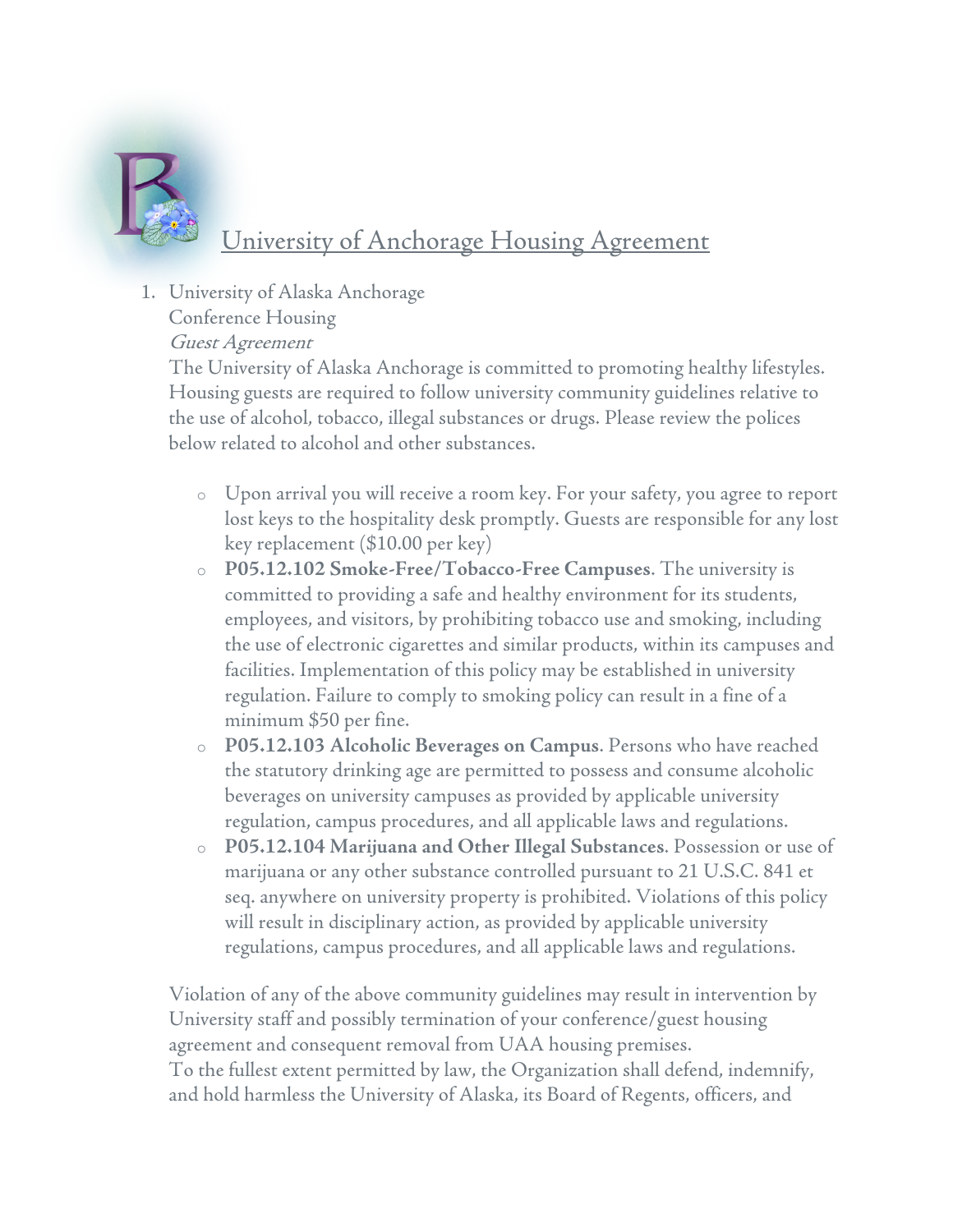

## University of Anchorage Housing Agreement

1. University of Alaska Anchorage

Conference Housing

Guest Agreement

The University of Alaska Anchorage is committed to promoting healthy lifestyles. Housing guests are required to follow university community guidelines relative to the use of alcohol, tobacco, illegal substances or drugs. Please review the polices below related to alcohol and other substances.

- o Upon arrival you will receive a room key. For your safety, you agree to report lost keys to the hospitality desk promptly. Guests are responsible for any lost key replacement (\$10.00 per key)
- o **P05.12.102 Smoke-Free/Tobacco-Free Campuses**. The university is committed to providing a safe and healthy environment for its students, employees, and visitors, by prohibiting tobacco use and smoking, including the use of electronic cigarettes and similar products, within its campuses and facilities. Implementation of this policy may be established in university regulation. Failure to comply to smoking policy can result in a fine of a minimum \$50 per fine.
- o **P05.12.103 Alcoholic Beverages on Campus**. Persons who have reached the statutory drinking age are permitted to possess and consume alcoholic beverages on university campuses as provided by applicable university regulation, campus procedures, and all applicable laws and regulations.
- o **P05.12.104 Marijuana and Other Illegal Substances**. Possession or use of marijuana or any other substance controlled pursuant to 21 U.S.C. 841 et seq. anywhere on university property is prohibited. Violations of this policy will result in disciplinary action, as provided by applicable university regulations, campus procedures, and all applicable laws and regulations.

Violation of any of the above community guidelines may result in intervention by University staff and possibly termination of your conference/guest housing agreement and consequent removal from UAA housing premises. To the fullest extent permitted by law, the Organization shall defend, indemnify, and hold harmless the University of Alaska, its Board of Regents, officers, and